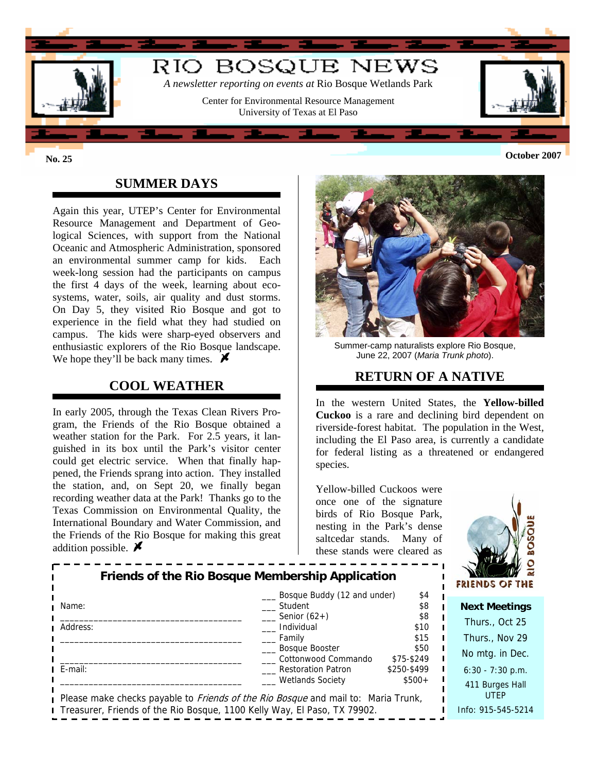

## **SUMMER DAYS**

Again this year, UTEP's Center for Environmental Resource Management and Department of Geological Sciences, with support from the National Oceanic and Atmospheric Administration, sponsored an environmental summer camp for kids. Each week-long session had the participants on campus the first 4 days of the week, learning about ecosystems, water, soils, air quality and dust storms. On Day 5, they visited Rio Bosque and got to experience in the field what they had studied on campus. The kids were sharp-eyed observers and enthusiastic explorers of the Rio Bosque landscape. We hope they'll be back many times.  $\blacktriangleright$ 

### **COOL WEATHER**

In early 2005, through the Texas Clean Rivers Program, the Friends of the Rio Bosque obtained a weather station for the Park. For 2.5 years, it languished in its box until the Park's visitor center could get electric service. When that finally happened, the Friends sprang into action. They installed the station, and, on Sept 20, we finally began recording weather data at the Park! Thanks go to the Texas Commission on Environmental Quality, the International Boundary and Water Commission, and the Friends of the Rio Bosque for making this great addition possible.  $\blacktriangleright$ 



Summer-camp naturalists explore Rio Bosque, June 22, 2007 (*Maria Trunk photo*).

### **RETURN OF A NATIVE**

In the western United States, the **Yellow-billed Cuckoo** is a rare and declining bird dependent on riverside-forest habitat. The population in the West, including the El Paso area, is currently a candidate for federal listing as a threatened or endangered species.

Yellow-billed Cuckoos were once one of the signature birds of Rio Bosque Park, nesting in the Park's dense saltcedar stands. Many of these stands were cleared as



| <b>Friends of the Rio Bosque Membership Application</b>                  |                                                                                   |             | 124<br><b>FRIENDS OF THE</b> |
|--------------------------------------------------------------------------|-----------------------------------------------------------------------------------|-------------|------------------------------|
| Name:                                                                    | Bosque Buddy (12 and under)<br>Student                                            | \$4<br>\$8  |                              |
|                                                                          |                                                                                   |             | <b>Next Meetings</b>         |
|                                                                          | Senior $(62+)$                                                                    | \$8         | Thurs., Oct 25               |
| Address:                                                                 | Individual                                                                        | \$10        |                              |
|                                                                          | Family                                                                            | \$15        | Thurs., Nov 29               |
|                                                                          | Bosque Booster                                                                    | \$50        |                              |
|                                                                          | Cottonwood Commando                                                               | \$75-\$249  | No mtg. in Dec.              |
| E-mail:                                                                  | <b>Restoration Patron</b>                                                         | \$250-\$499 | $6:30 - 7:30$ p.m.           |
|                                                                          | <b>Wetlands Society</b>                                                           | $$500+$     |                              |
|                                                                          |                                                                                   |             | 411 Burges Hall              |
|                                                                          | Please make checks payable to Friends of the Rio Bosque and mail to: Maria Trunk, |             | <b>UTEP</b>                  |
| Treasurer, Friends of the Rio Bosque, 1100 Kelly Way, El Paso, TX 79902. |                                                                                   |             | Info: 915-545-5214           |